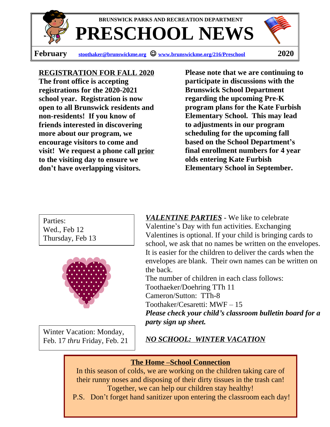

**PRESCHOOL NEWS**

**BRUNSWICK PARKS AND RECREATION DEPARTMENT**

**February [stoothaker@brunswickme.org](mailto:stoothaker@brunswickme.org)** J **[www.brunswickme.org/216/Preschool](http://www.brunswickme.org/216/Preschool) 2020**

## **REGISTRATION FOR FALL 2020**

**The front office is accepting registrations for the 2020-2021 school year. Registration is now open to all Brunswick residents and non-residents! If you know of friends interested in discovering more about our program, we encourage visitors to come and visit! We request a phone call prior to the visiting day to ensure we don't have overlapping visitors.**

**Please note that we are continuing to participate in discussions with the Brunswick School Department regarding the upcoming Pre-K program plans for the Kate Furbish Elementary School. This may lead to adjustments in our program scheduling for the upcoming fall based on the School Department's final enrollment numbers for 4 year olds entering Kate Furbish Elementary School in September.**

Parties: Wed., Feb 12 Thursday, Feb 13



Winter Vacation: Monday, Feb. 17 *thru* Friday, Feb. 21

*VALENTINE PARTIES* - We like to celebrate Valentine's Day with fun activities. Exchanging Valentines is optional. If your child is bringing cards to school, we ask that no names be written on the envelopes. It is easier for the children to deliver the cards when the envelopes are blank. Their own names can be written on the back.

The number of children in each class follows: Toothaeker/Doehring TTh 11 Cameron/Sutton: TTh-8 Toothaker/Cesaretti: MWF – 15 *Please check your child's classroom bulletin board for a party sign up sheet.*

*NO SCHOOL: WINTER VACATION*

## **The Home –School Connection**

In this season of colds, we are working on the children taking care of their runny noses and disposing of their dirty tissues in the trash can! Together, we can help our children stay healthy!

P.S. Don't forget hand sanitizer upon entering the classroom each day!